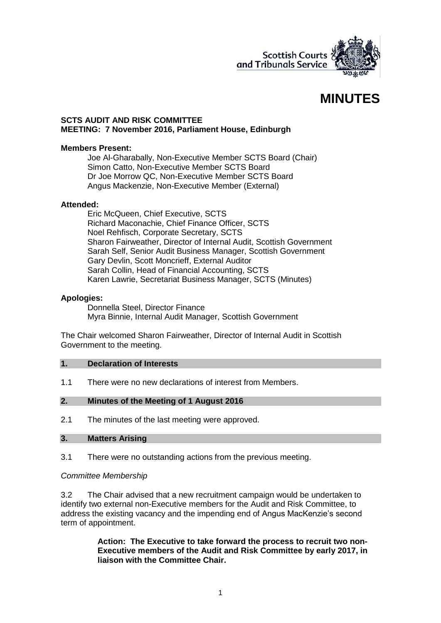

# **MINUTES**

#### **SCTS AUDIT AND RISK COMMITTEE MEETING: 7 November 2016, Parliament House, Edinburgh**

### **Members Present:**

Joe Al-Gharabally, Non-Executive Member SCTS Board (Chair) Simon Catto, Non-Executive Member SCTS Board Dr Joe Morrow QC, Non-Executive Member SCTS Board Angus Mackenzie, Non-Executive Member (External)

#### **Attended:**

Eric McQueen, Chief Executive, SCTS Richard Maconachie, Chief Finance Officer, SCTS Noel Rehfisch, Corporate Secretary, SCTS Sharon Fairweather, Director of Internal Audit, Scottish Government Sarah Self, Senior Audit Business Manager, Scottish Government Gary Devlin, Scott Moncrieff, External Auditor Sarah Collin, Head of Financial Accounting, SCTS Karen Lawrie, Secretariat Business Manager, SCTS (Minutes)

### **Apologies:**

Donnella Steel, Director Finance Myra Binnie, Internal Audit Manager, Scottish Government

The Chair welcomed Sharon Fairweather, Director of Internal Audit in Scottish Government to the meeting.

#### **1. Declaration of Interests**

1.1 There were no new declarations of interest from Members.

### **2. Minutes of the Meeting of 1 August 2016**

2.1 The minutes of the last meeting were approved.

### **3. Matters Arising**

3.1 There were no outstanding actions from the previous meeting.

#### *Committee Membership*

3.2 The Chair advised that a new recruitment campaign would be undertaken to identify two external non-Executive members for the Audit and Risk Committee, to address the existing vacancy and the impending end of Angus MacKenzie's second term of appointment.

> **Action: The Executive to take forward the process to recruit two non-Executive members of the Audit and Risk Committee by early 2017, in liaison with the Committee Chair.**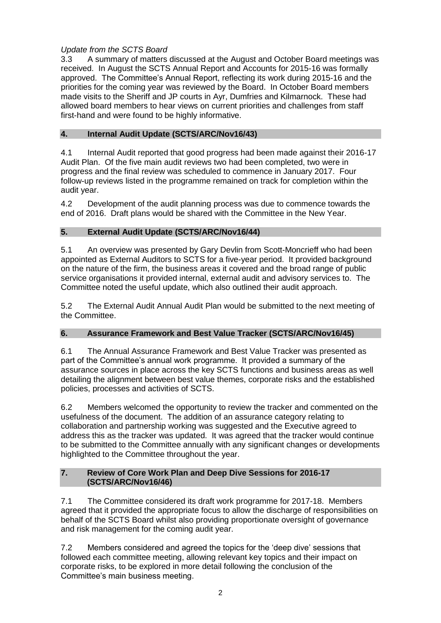# *Update from the SCTS Board*

3.3 A summary of matters discussed at the August and October Board meetings was received. In August the SCTS Annual Report and Accounts for 2015-16 was formally approved. The Committee's Annual Report, reflecting its work during 2015-16 and the priorities for the coming year was reviewed by the Board. In October Board members made visits to the Sheriff and JP courts in Ayr, Dumfries and Kilmarnock. These had allowed board members to hear views on current priorities and challenges from staff first-hand and were found to be highly informative.

# **4. Internal Audit Update (SCTS/ARC/Nov16/43)**

4.1 Internal Audit reported that good progress had been made against their 2016-17 Audit Plan. Of the five main audit reviews two had been completed, two were in progress and the final review was scheduled to commence in January 2017. Four follow-up reviews listed in the programme remained on track for completion within the audit year.

4.2 Development of the audit planning process was due to commence towards the end of 2016. Draft plans would be shared with the Committee in the New Year.

# **5. External Audit Update (SCTS/ARC/Nov16/44)**

5.1 An overview was presented by Gary Devlin from Scott-Moncrieff who had been appointed as External Auditors to SCTS for a five-year period. It provided background on the nature of the firm, the business areas it covered and the broad range of public service organisations it provided internal, external audit and advisory services to. The Committee noted the useful update, which also outlined their audit approach.

5.2 The External Audit Annual Audit Plan would be submitted to the next meeting of the Committee.

# **6. Assurance Framework and Best Value Tracker (SCTS/ARC/Nov16/45)**

6.1 The Annual Assurance Framework and Best Value Tracker was presented as part of the Committee's annual work programme. It provided a summary of the assurance sources in place across the key SCTS functions and business areas as well detailing the alignment between best value themes, corporate risks and the established policies, processes and activities of SCTS.

6.2 Members welcomed the opportunity to review the tracker and commented on the usefulness of the document. The addition of an assurance category relating to collaboration and partnership working was suggested and the Executive agreed to address this as the tracker was updated. It was agreed that the tracker would continue to be submitted to the Committee annually with any significant changes or developments highlighted to the Committee throughout the year.

# **7. Review of Core Work Plan and Deep Dive Sessions for 2016-17 (SCTS/ARC/Nov16/46)**

7.1 The Committee considered its draft work programme for 2017-18. Members agreed that it provided the appropriate focus to allow the discharge of responsibilities on behalf of the SCTS Board whilst also providing proportionate oversight of governance and risk management for the coming audit year.

7.2 Members considered and agreed the topics for the 'deep dive' sessions that followed each committee meeting, allowing relevant key topics and their impact on corporate risks, to be explored in more detail following the conclusion of the Committee's main business meeting.